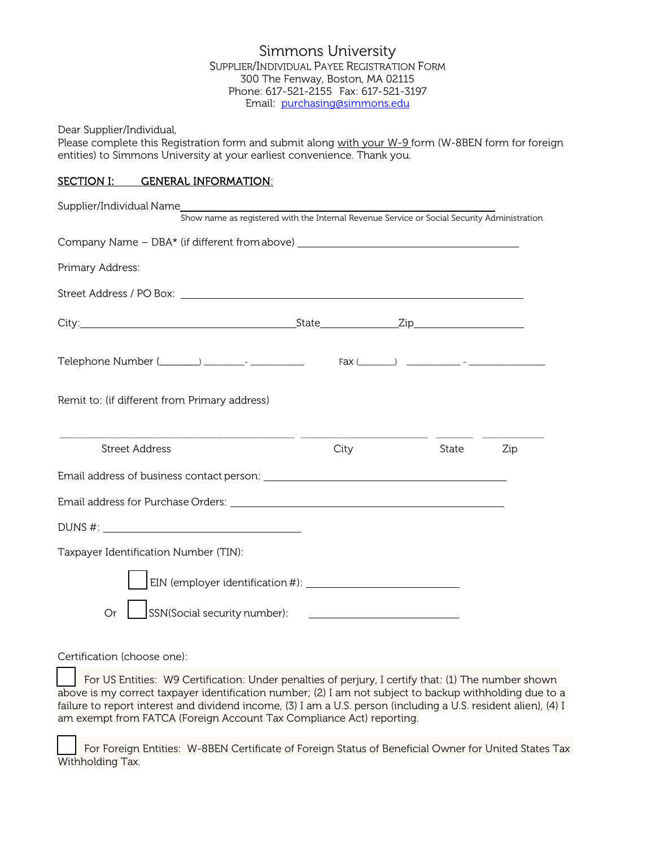Simmons University SUPPLIER/INDIVIDUAL PAYEE REGISTRATION FORM 300 The Fenway, Boston, MA 02115 Phone: 617-521-2155 Fax: 617-521-3197 Email: [purchasing@simmons.edu](mailto:purchasing@simmons.edu)

Dear Supplier/Individual,

Please complete this Registration form and submit along with your W-9 form (W-8BEN form for foreign entities) to Simmons University at your earliest convenience. Thank you.

## SECTION I: GENERAL INFORMATION:

| Supplier/Individual Name<br>Show name as registered with the Internal Revenue Service or Social Security Administration                                                                                                        |      |       |     |
|--------------------------------------------------------------------------------------------------------------------------------------------------------------------------------------------------------------------------------|------|-------|-----|
| Company Name - DBA* (if different from above) __________________________________                                                                                                                                               |      |       |     |
| Primary Address:                                                                                                                                                                                                               |      |       |     |
|                                                                                                                                                                                                                                |      |       |     |
|                                                                                                                                                                                                                                |      |       |     |
|                                                                                                                                                                                                                                |      |       |     |
| Remit to: (if different from Primary address)                                                                                                                                                                                  |      |       |     |
| <u> 1980 - Jan Samuel Barbara, poeta esta</u><br><b>Street Address</b>                                                                                                                                                         | City | State | Zip |
|                                                                                                                                                                                                                                |      |       |     |
| Email address for Purchase Orders: Note and the control of the control of the control of the control of the control of the control of the control of the control of the control of the control of the control of the control o |      |       |     |
|                                                                                                                                                                                                                                |      |       |     |
| Taxpayer Identification Number (TIN):                                                                                                                                                                                          |      |       |     |
|                                                                                                                                                                                                                                |      |       |     |
| Or                                                                                                                                                                                                                             |      |       |     |

## Certification (choose one):

 For US Entities: W9 Certification: Under penalties of perjury, I certify that: (1) The number shown above is my correct taxpayer identification number; (2) I am not subject to backup withholding due to a failure to report interest and dividend income, (3) I am a U.S. person (including a U.S. resident alien), (4) I am exempt from FATCA (Foreign Account Tax Compliance Act) reporting.

 For Foreign Entities: W-8BEN Certificate of Foreign Status of Beneficial Owner for United States Tax Withholding Tax.